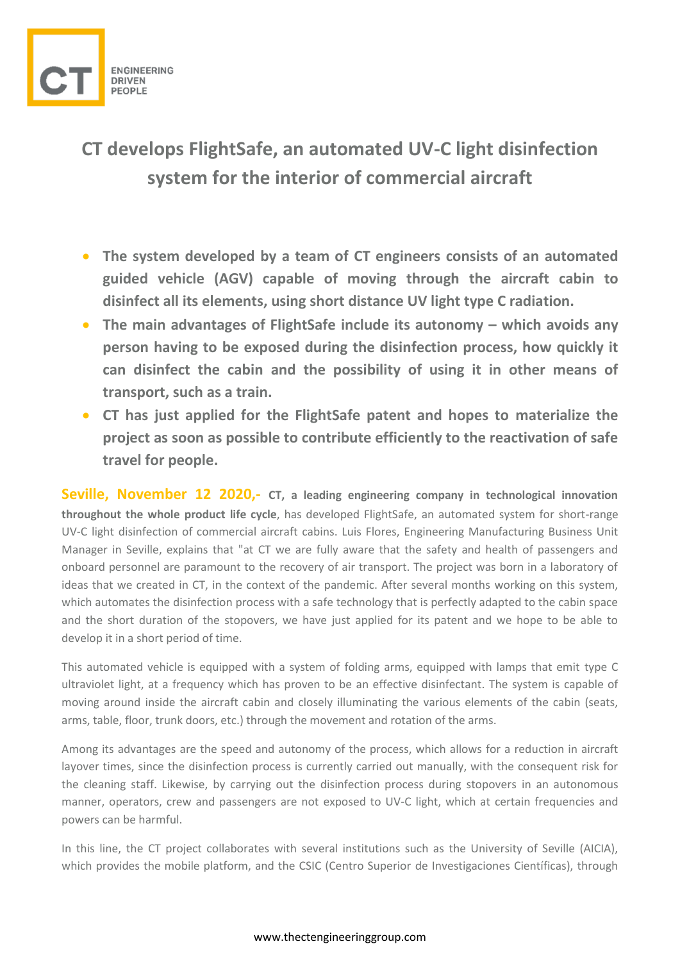

## **CT develops FlightSafe, an automated UV-C light disinfection system for the interior of commercial aircraft**

- **The system developed by a team of CT engineers consists of an automated guided vehicle (AGV) capable of moving through the aircraft cabin to disinfect all its elements, using short distance UV light type C radiation.**
- **The main advantages of FlightSafe include its autonomy – which avoids any person having to be exposed during the disinfection process, how quickly it can disinfect the cabin and the possibility of using it in other means of transport, such as a train.**
- **CT has just applied for the FlightSafe patent and hopes to materialize the project as soon as possible to contribute efficiently to the reactivation of safe travel for people.**

**Seville, November 12 2020,- CT, a leading engineering company in technological innovation throughout the whole product life cycle**, has developed FlightSafe, an automated system for short-range UV-C light disinfection of commercial aircraft cabins. Luis Flores, Engineering Manufacturing Business Unit Manager in Seville, explains that "at CT we are fully aware that the safety and health of passengers and onboard personnel are paramount to the recovery of air transport. The project was born in a laboratory of ideas that we created in CT, in the context of the pandemic. After several months working on this system, which automates the disinfection process with a safe technology that is perfectly adapted to the cabin space and the short duration of the stopovers, we have just applied for its patent and we hope to be able to develop it in a short period of time.

This automated vehicle is equipped with a system of folding arms, equipped with lamps that emit type C ultraviolet light, at a frequency which has proven to be an effective disinfectant. The system is capable of moving around inside the aircraft cabin and closely illuminating the various elements of the cabin (seats, arms, table, floor, trunk doors, etc.) through the movement and rotation of the arms.

Among its advantages are the speed and autonomy of the process, which allows for a reduction in aircraft layover times, since the disinfection process is currently carried out manually, with the consequent risk for the cleaning staff. Likewise, by carrying out the disinfection process during stopovers in an autonomous manner, operators, crew and passengers are not exposed to UV-C light, which at certain frequencies and powers can be harmful.

In this line, the CT project collaborates with several institutions such as the University of Seville (AICIA), which provides the mobile platform, and the CSIC (Centro Superior de Investigaciones Científicas), through